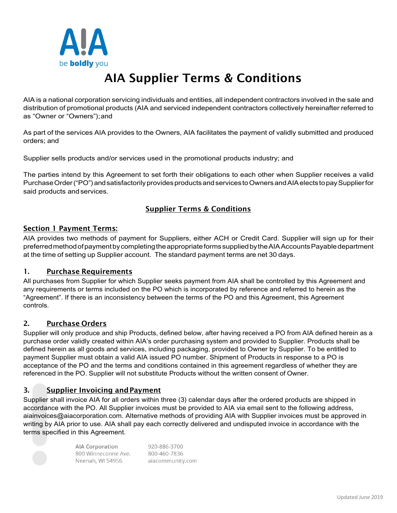

# AIA Supplier Terms & Conditions

AIA is a national corporation servicing individuals and entities, all independent contractors involved in the sale and distribution of promotional products (AIA and serviced independent contractors collectively hereinafter referred to as "Owner or "Owners");and

As part of the services AIA provides to the Owners, AIA facilitates the payment of validly submitted and produced orders; and

Supplier sells products and/or services used in the promotional products industry; and

The parties intend by this Agreement to set forth their obligations to each other when Supplier receives a valid Purchase Order ("PO") and satisfactorily provides products and services to Owners and AIA elects to pay Supplier for said products andservices.

# Supplier Terms & Conditions

# Section 1 Payment Terms:

AIA provides two methods of payment for Suppliers, either ACH or Credit Card. Supplier will sign up for their preferredmethodofpaymentbycompletingtheappropriateformssuppliedbytheAIAAccountsPayabledepartment at the time of setting up Supplier account. The standard payment terms are net 30 days.

# 1. Purchase Requirements

All purchases from Supplier for which Supplier seeks payment from AIA shall be controlled by this Agreement and any requirements or terms included on the PO which is incorporated by reference and referred to herein as the "Agreement". If there is an inconsistency between the terms of the PO and this Agreement, this Agreement controls.

#### 2. Purchase Orders

Supplier will only produce and ship Products, defined below, after having received a PO from AIA defined herein as a purchase order validly created within AIA's order purchasing system and provided to Supplier. Products shall be defined herein as all goods and services, including packaging, provided to Owner by Supplier. To be entitled to payment Supplier must obtain a valid AIA issued PO number. Shipment of Products in response to a PO is acceptance of the PO and the terms and conditions contained in this agreement regardless of whether they are referenced in the PO. Supplier will not substitute Products without the written consent of Owner.

# 3. Supplier Invoicing andPayment

Supplier shall invoice AIA for all orders within three (3) calendar days after the ordered products are shipped in accordance with the PO. All Supplier invoices must be provided to AIA via email sent to the following address, [aiainvoices@aiacorporation.com.](mailto:aiainvoices@aiacorporation.com) Alternative methods of providing AIA with Supplier invoices must be approved in writing by AIA prior to use. AIA shall pay each correctly delivered and undisputed invoice in accordance with the terms specified in this Agreement.



**AIA Corporation** 800 Winneconne Ave. Neenah, WI 54956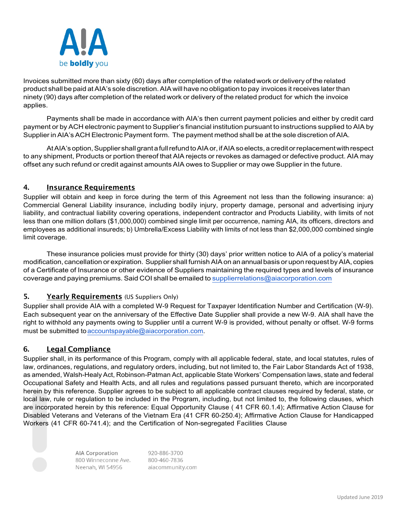

Invoices submitted more than sixty (60) days after completion of the relatedwork or delivery of the related product shall be paid at AIA's sole discretion. AIA will have no obligation to pay invoices it receives later than ninety (90) days after completion of the related work or delivery of the related product for which the invoice applies.

Payments shall be made in accordance with AIA's then current payment policies and either by credit card payment or by ACH electronic payment to Supplier's financial institution pursuant to instructions supplied to AIA by Supplier in AIA's ACH Electronic Payment form. The payment method shall be at the sole discretion of AIA.

At AIA's option, Supplier shall grant a full refund to AIA or, if AIA so elects, a credit or replacement with respect to any shipment, Products or portion thereof that AIA rejects or revokes as damaged or defective product. AIA may offset any such refund or credit against amounts AIA owes to Supplier or may owe Supplier in the future.

# 4. Insurance Requirements

Supplier will obtain and keep in force during the term of this Agreement not less than the following insurance: a) Commercial General Liability insurance, including bodily injury, property damage, personal and advertising injury liability, and contractual liability covering operations, independent contractor and Products Liability, with limits of not less than one million dollars (\$1,000,000) combined single limit per occurrence, naming AIA, its officers, directors and employees as additional insureds; b) Umbrella/Excess Liability with limits of not less than \$2,000,000 combined single limit coverage.

These insurance policies must provide for thirty (30) days' prior written notice to AIA of a policy's material modification, cancellation or expiration. Supplier shall furnishAIAon an annual basis or upon request byAIA, copies of a Certificate of Insurance or other evidence of Suppliers maintaining the required types and levels of insurance coverage and paying premiums. Said COI shall be emailed to [supplierrelations@aiacorporation.com](mailto:supplierrelations@aiacorporation.com)

# 5. Yearly Requirements (US Suppliers Only)

Supplier shall provide AIA with a completed W-9 Request for Taxpayer Identification Number and Certification (W-9). Each subsequent year on the anniversary of the Effective Date Supplier shall provide a new W-9. AIA shall have the right to withhold any payments owing to Supplier until a current W-9 is provided, without penalty or offset. W-9 forms must be submitted to [accountspayable@aiacorporation.com.](mailto:accountspayable@aiacorporation.com)

# 6. Legal Compliance

Supplier shall, in its performance of this Program, comply with all applicable federal, state, and local statutes, rules of law, ordinances, regulations, and regulatory orders, including, but not limited to, the Fair Labor Standards Act of 1938, as amended, Walsh-Healy Act, Robinson-Patman Act, applicable State Workers' Compensation laws, state and federal Occupational Safety and Health Acts, and all rules and regulations passed pursuant thereto, which are incorporated herein by this reference. Supplier agrees to be subject to all applicable contract clauses required by federal, state, or local law, rule or regulation to be included in the Program, including, but not limited to, the following clauses, which are incorporated herein by this reference: Equal Opportunity Clause ( 41 CFR 60.1.4); Affirmative Action Clause for Disabled Veterans and Veterans of the Vietnam Era (41 CFR 60-250.4); Affirmative Action Clause for Handicapped Workers (41 CFR 60-741.4); and the Certification of Non-segregated Facilities Clause

> **AIA Corporation** 800 Winneconne Ave. Neenah, WI 54956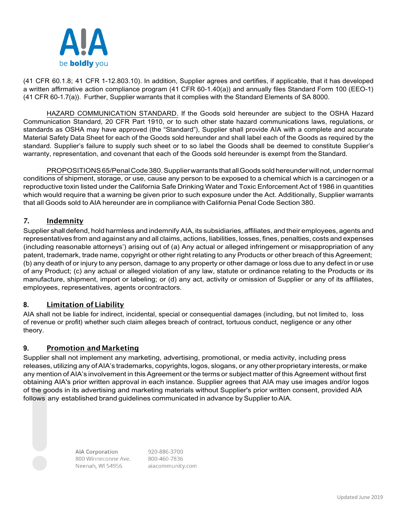

(41 CFR 60.1.8; 41 CFR 1-12.803.10). In addition, Supplier agrees and certifies, if applicable, that it has developed a written affirmative action compliance program (41 CFR 60-1.40(a)) and annually files Standard Form 100 (EEO-1) (41 CFR 60-1.7(a)). Further, Supplier warrants that it complies with the Standard Elements of SA 8000.

HAZARD COMMUNICATION STANDARD. If the Goods sold hereunder are subject to the OSHA Hazard Communication Standard, 20 CFR Part 1910, or to such other state hazard communications laws, regulations, or standards as OSHA may have approved (the "Standard"), Supplier shall provide AIA with a complete and accurate Material Safety Data Sheet for each of the Goods sold hereunder and shall label each of the Goods as required by the standard. Supplier's failure to supply such sheet or to so label the Goods shall be deemed to constitute Supplier's warranty, representation, and covenant that each of the Goods sold hereunder is exempt from the Standard.

PROPOSITIONS 65/Penal Code 380. Supplier warrants that all Goods sold hereunder will not, under normal conditions of shipment, storage, or use, cause any person to be exposed to a chemical which is a carcinogen or a reproductive toxin listed under the California Safe Drinking Water and Toxic Enforcement Act of 1986 in quantities which would require that a warning be given prior to such exposure under the Act. Additionally, Supplier warrants that all Goods sold to AIA hereunder are in compliance with California Penal Code Section 380.

# 7. **Indemnity**

Supplier shall defend, hold harmless and indemnify AIA, its subsidiaries, affiliates, and their employees, agents and representatives from and against any and all claims, actions, liabilities, losses, fines, penalties, costs and expenses (including reasonable attorneys') arising out of (a) Any actual or alleged infringement or misappropriation of any patent, trademark, trade name, copyright or other right relating to any Products or other breach of this Agreement; (b) any death of or injury to any person, damage to any property or other damage or loss due to any defect in or use of any Product; (c) any actual or alleged violation of any law, statute or ordinance relating to the Products or its manufacture, shipment, import or labeling; or (d) any act, activity or omission of Supplier or any of its affiliates, employees, representatives, agents orcontractors.

# **8.** Limitation of Liability

AIA shall not be liable for indirect, incidental, special or consequential damages (including, but not limited to, loss of revenue or profit) whether such claim alleges breach of contract, tortuous conduct, negligence or any other theory.

#### **9.** Promotion and Marketing

Supplier shall not implement any marketing, advertising, promotional, or media activity, including press releases, utilizing any of AIA's trademarks, copyrights, logos, slogans, or any other proprietary interests, or make any mention of AIA's involvement in this Agreement or the terms or subject matter of this Agreement without first obtaining AIA's prior written approval in each instance. Supplier agrees that AIA may use images and/or logos of the goods in its advertising and marketing materials without Supplier's prior written consent, provided AIA follows any established brand guidelines communicated in advance by Supplier to AIA.

> **AIA Corporation** 800 Winneconne Ave. Neenah, WI 54956